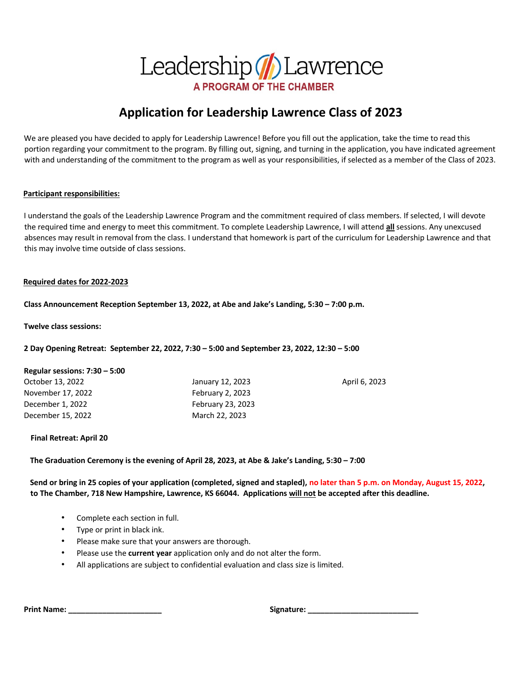

# **Application for Leadership Lawrence Class of 2023**

We are pleased you have decided to apply for Leadership Lawrence! Before you fill out the application, take the time to read this portion regarding your commitment to the program. By filling out, signing, and turning in the application, you have indicated agreement with and understanding of the commitment to the program as well as your responsibilities, if selected as a member of the Class of 2023.

#### **Participant responsibilities:**

I understand the goals of the Leadership Lawrence Program and the commitment required of class members. If selected, I will devote the required time and energy to meet this commitment. To complete Leadership Lawrence, I will attend **all** sessions. Any unexcused absences may result in removal from the class. I understand that homework is part of the curriculum for Leadership Lawrence and that this may involve time outside of class sessions.

#### **Required dates for 2022-2023**

**Class Announcement Reception September 13, 2022, at Abe and Jake's Landing, 5:30 – 7:00 p.m.** 

**Twelve class sessions:** 

**2 Day Opening Retreat: September 22, 2022, 7:30 – 5:00 and September 23, 2022, 12:30 – 5:00** 

| Regular sessions: $7:30 - 5:00$ |                          |               |
|---------------------------------|--------------------------|---------------|
| October 13, 2022                | January 12, 2023         | April 6, 2023 |
| November 17, 2022               | February 2, 2023         |               |
| December 1, 2022                | <b>February 23, 2023</b> |               |
| December 15, 2022               | March 22, 2023           |               |

#### **Final Retreat: April 20**

**The Graduation Ceremony is the evening of April 28, 2023, at Abe & Jake's Landing, 5:30 – 7:00**

**Send or bring in 25 copies of your application (completed, signed and stapled), no later than 5 p.m. on Monday, August 15, 2022, to The Chamber, 718 New Hampshire, Lawrence, KS 66044. Applications will not be accepted after this deadline.**

- Complete each section in full.
- Type or print in black ink.
- Please make sure that your answers are thorough.
- Please use the **current year** application only and do not alter the form.
- All applications are subject to confidential evaluation and class size is limited.

**Print Name: \_\_\_\_\_\_\_\_\_\_\_\_\_\_\_\_\_\_\_\_\_\_ Signature: \_\_\_\_\_\_\_\_\_\_\_\_\_\_\_\_\_\_\_\_\_\_\_\_\_\_**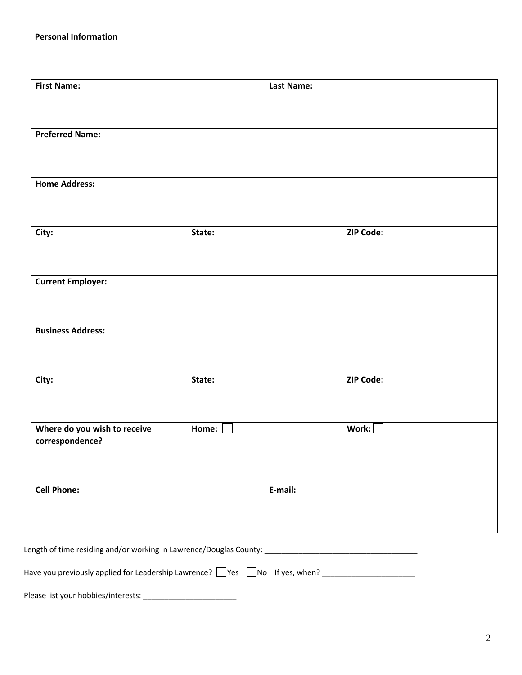| <b>First Name:</b>                              |           | <b>Last Name:</b> |                  |  |
|-------------------------------------------------|-----------|-------------------|------------------|--|
| <b>Preferred Name:</b>                          |           |                   |                  |  |
| <b>Home Address:</b>                            |           |                   |                  |  |
|                                                 |           |                   |                  |  |
| City:                                           | State:    |                   |                  |  |
| <b>Current Employer:</b>                        |           |                   |                  |  |
| <b>Business Address:</b>                        |           |                   |                  |  |
| City:                                           | State:    |                   | <b>ZIP Code:</b> |  |
| Where do you wish to receive<br>correspondence? | Home: $[$ |                   | Work: $\Box$     |  |
| <b>Cell Phone:</b>                              |           | E-mail:           |                  |  |
|                                                 |           |                   |                  |  |

| Have you previously applied for Leadership Lawrence? $\Box$ Yes $\Box$ No If yes, when? |  |  |  |  |
|-----------------------------------------------------------------------------------------|--|--|--|--|
|-----------------------------------------------------------------------------------------|--|--|--|--|

Please list your hobbies/interests: **\_\_\_\_\_\_\_\_\_\_\_\_\_\_\_\_\_\_\_\_\_\_**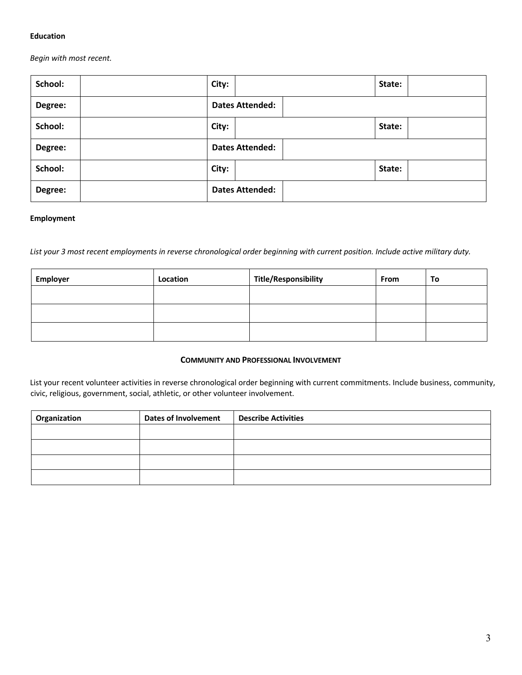## **Education**

*Begin with most recent.*

| School: | City:                  | State: |
|---------|------------------------|--------|
| Degree: | <b>Dates Attended:</b> |        |
| School: | City:                  | State: |
| Degree: | <b>Dates Attended:</b> |        |
| School: | City:                  | State: |
| Degree: | <b>Dates Attended:</b> |        |

## **Employment**

*List your 3 most recent employments in reverse chronological order beginning with current position. Include active military duty.* 

| <b>Employer</b> | Location | <b>Title/Responsibility</b> | From | To |
|-----------------|----------|-----------------------------|------|----|
|                 |          |                             |      |    |
|                 |          |                             |      |    |
|                 |          |                             |      |    |

## **COMMUNITY AND PROFESSIONAL INVOLVEMENT**

List your recent volunteer activities in reverse chronological order beginning with current commitments. Include business, community, civic, religious, government, social, athletic, or other volunteer involvement.

| Organization | <b>Dates of Involvement</b> | <b>Describe Activities</b> |
|--------------|-----------------------------|----------------------------|
|              |                             |                            |
|              |                             |                            |
|              |                             |                            |
|              |                             |                            |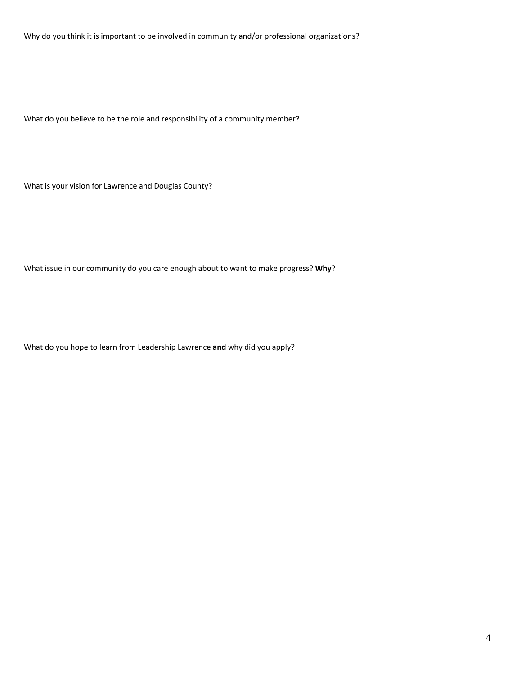Why do you think it is important to be involved in community and/or professional organizations?

What do you believe to be the role and responsibility of a community member?

What is your vision for Lawrence and Douglas County?

What issue in our community do you care enough about to want to make progress? **Why**?

What do you hope to learn from Leadership Lawrence **and** why did you apply?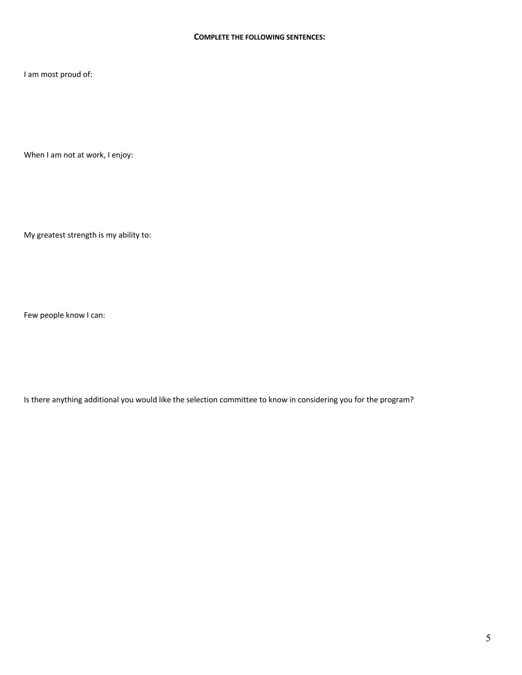## **COMPLETE THE FOLLOWING SENTENCES:**

I am most proud of:

When I am not at work, I enjoy:

My greatest strength is my ability to:

Few people know I can:

Is there anything additional you would like the selection committee to know in considering you for the program?